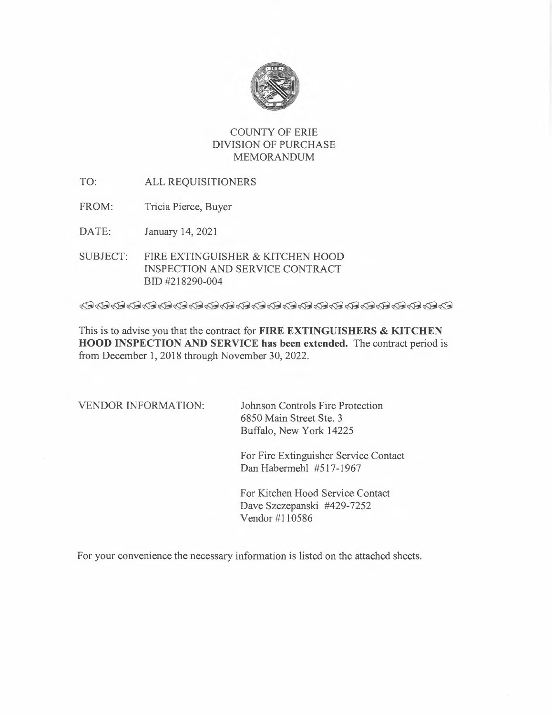

# COUNTY OF ERIE DIVISION OF PURCHASE MEMORANDUM

- TO: ALL REQUISITIONERS
- FROM: Tricia Pierce, Buyer

DATE: January 14, 2021

SUBJECT: FIRE EXTINGUISHER & KITCHEN HOOD INSPECTION AND SERVICE CONTRACT BID #218290-004

This is to advise you that the contract for **FIRE EXTINGUISHERS & KITCHEN HOOD INSPECTION AND SERVICE has been extended.** The contract period is from December 1, 2018 through November 30, 2022.

VENDOR INFORMATION: Johnson Controls Fire Protection 6850 Main Street Ste. 3 Buffalo, New York 14225

> For Fire Extinguisher Service Contact Dan Habermehl #517-1967

For Kitchen Hood Service Contact Dave Szczepanski #429-7252 Vendor #110586

For your convenience the necessary information is listed on the attached sheets.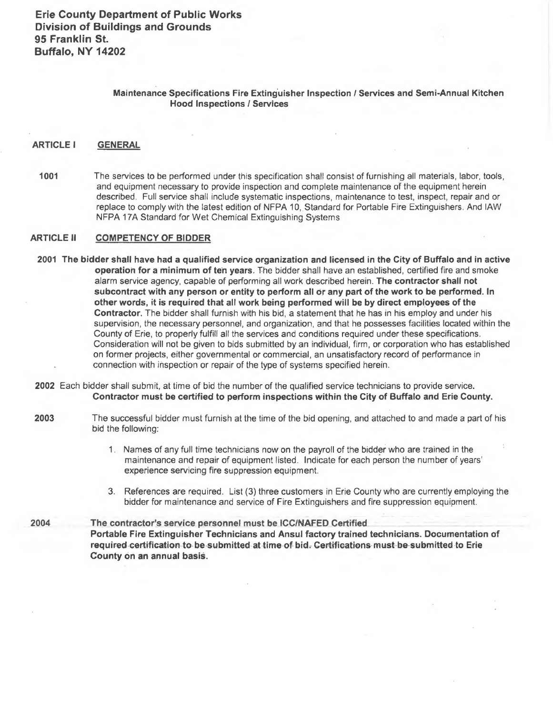### **Maintenance Specifications Fire Extinguisher Inspection / Services and Semi-Annual Kitchen Hood Inspections** *ò* **Services**

#### **ARTICLE** <sup>I</sup> **GENERAL**

**1001**  The services to be performed under this specification shall consist of furnishing all materials, labor, toots, and equipment necessary to provide inspection and complete maintenance of the equipment herein described. Full service shall include systematic inspections, maintenance to test, inspect, repair and or replace to comply with the latest edition of NFPA 10, Standard for Portable Fire Extinguishers. And IAW NFPA 17A Standard for Wet Chemical Extinguishing Systems

#### **ARTICLE** II **COMPETENCY OF BIDDER**

- **2001 The bidder shall have had a qualified service organization and licensed in the City of Buffalo and in active operation for a minimum of ten years.** The bidder shall have an established, certified fire and smoke alarm service agency, capable of performing all work described herein. **The contractor shall not**  subcontract with any person or entity to perform all or any part of the work to be performed. In **other words, it is required that all work being performed will be by direct employees of the Contractor.** The bidder shall furnish with his bid, a statement that he has in his employ and under his supervision, the necessary personnel, and organization, and that he possesses facilities located within the County of Erie, to properly fulfill all the services and conditions required under these specifications. Consideration will not be given to bids submitted by an individual, firm, or corporation who has established on former projects, either governmental or commercial, an unsatisfactory record of performance in connection with inspection or repair of the type of systems specified herein.
- **2002** Each bidder shall submit, at time of bid the number of the qualified service technicians to provide service. **Contractor must be certified to peñorm inspections within the City of Buffalo and Erie County.**
- **2003** The successful bidder must furnish at the tirrie of the bid opening, and attached to and made a part of his bid the following:
	- 1 . Names of any full time technicians now on the payroll of the bidder who are trained in the maintenance and repair of equipment fisted. Indicate for each person the number of years' experience servicing fire suppression equipment.
	- 3. References are required. List (3) three customers in Erie County who are currently employing the bidder for maintenance and service of Fire Extinguishers and fire suppression equipment.

**2004 The contractor's service personnel must be ICC/NAFED Certified Portable Fire Extinguisher Technicians and Ansul factory trained technicians. Documentation of**  required-certification-to-be-submitted-at-time-of-bid. Certifications-must-be-submitted to Erie **County ón an annual basis.**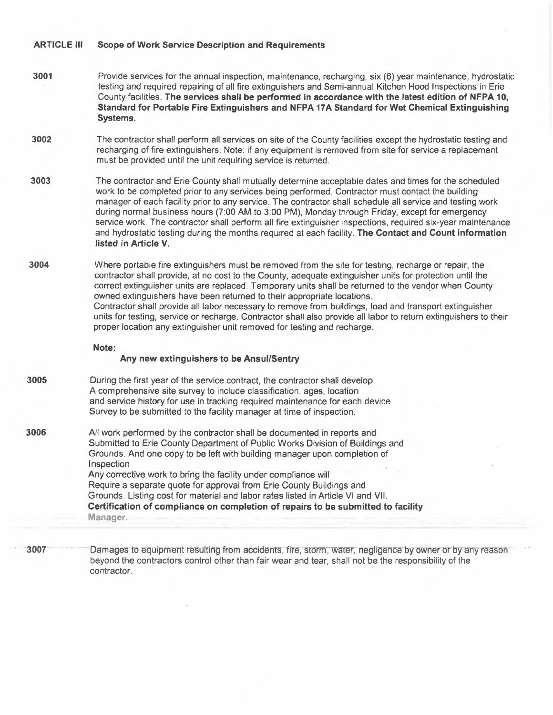#### **ARTICLE Ill Scope of Work Service Description and Requirements**

- **3001** Provide services for the annual inspection, maintenance, recharging, six (6) year maintenance, hydrostatic testing and required repairing of all fire extinguishers and Semi-annual Kitchen Hood Inspections in Erie County facilities. **The services shall be performed in accordance with the latest edition of NFPA 10, Standard for Portable Fire Extinguishers and NFPA 17A Standard for Wet Chemical Extinguishing Systems.**
- **3002** The contractor shall perform all services on site of the County facilities except the hydrostatic testing and recharging of fire extinguishers. Note: if any equipment is removed from site for service a replacement must be provided until the unit requiring service is returned.
- **3003** The contractor and Erie County shall mutually determine acceptable dates and times for the scheduled work to be completed prior to any services being performed. Contractor must contact the building manager of each facility prior to any service. The contractor shall schedule all service and testing work during normal business hours (7:00 AM to 3:00 PM), Monday through Friday, except for emergency service work. The contractor shall perform all fire extinguisher inspections, required six-year maintenance and hydrostatic testing during the months required at each facility. **The Contact and Count information listed in Article V.**
- **3004** Where portable fire extinguishers must be removed from the site for testing, recharge or repair, the contractor shall provide, at no cost to the County, adequate extinguisher units for protection until the correct extinguisher units are replaced. Temporary units shall be returned to the vendor when County owned extinguishers have been returned to their appropriate locations. Contractor shall provide all labor necessary to remove from buildings, load and transport extinguisher units for testing, service or recharge. Contractor shall also provide all labor to return extinguishers to their proper location any extinguisher unit removed for testing and recharge.

#### **Note:**

**Manager.** 

#### **Any new extinguishers to be Ansul/Sentry**

- **3005** During the first year of the service contract, the contractor shall develop A comprehensive site survey to include classification, ages, location and service history for use in tracking required maintenance for each device Survey to be submitted to the facility manager at time of inspection.
- **3006** All work performed by the contractor shall be documented in reports and Submitted to Erie County Department of Public Works Division of Buildings and Grounds. And one copy to be left with building manager upon completion of Inspection Any corrective work to bring the facility under compliance will Require a separate quote for approval from Erie County Buildings and Grounds. Listing cost for material and labor rates listed in Article VI and VII. **Certification of compliance on completion of repairs to be submitted to facility**
- **3007** Damages to equipment resulting from accidents, fire, storm, water, negligence by owner or by any reason beyond the contractors control other than fair wear and tear, shall not be the responsibility of the contractor.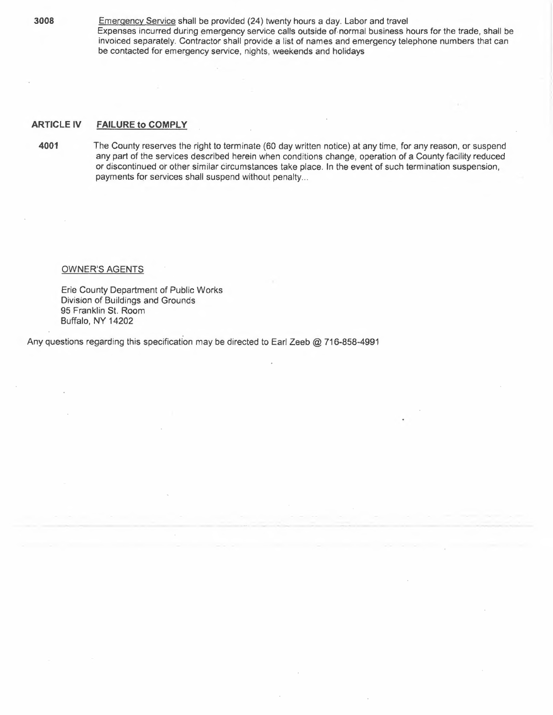**3008** Emergency Service shall be provided (24) twenty hours a day. Labor and travel Expenses incurred during emergency service calls outside of.normal business hours for the trade, shall be invoiced separately. Contractor shall provide a list of names and emergency telephone numbers that can be contacted for emergency service, nights, weekends and holidays

#### **ARTICLE IV FAILURE to COMPLY**

**4001** The County reserves the right to terminate (60 day written notice) at any time, for any reason, or suspend any part of the services described herein when conditions change, operation of a County facility reduced or discontinued or other similar circumstances take place. In the event of such termination suspension, payments for services shall suspend without penalty...

#### OWNER'S AGENTS

Erie County Department of Public Works Division of Buildings and Grounds 95 Franklin St. Room Buffalo, NY 14202

Any questions regarding this specification may be directed to Earl Zeeb @ 716-858-4991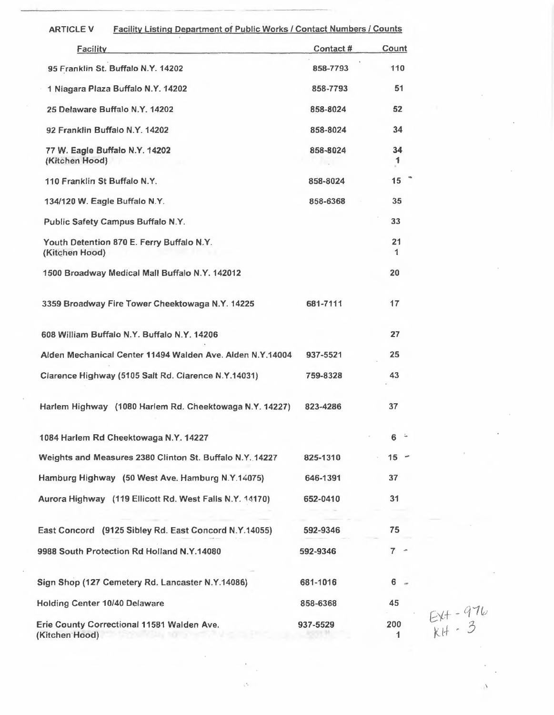| <b>Facility Listing Department of Public Works / Contact Numbers / Counts</b><br><b>ARTICLE V</b> |           |          |                            |
|---------------------------------------------------------------------------------------------------|-----------|----------|----------------------------|
| <b>Facility</b>                                                                                   | Contact # | Count    |                            |
| 95 Franklin St. Buffalo N.Y. 14202                                                                | 858-7793  | 110      |                            |
| 1 Niagara Plaza Buffalo N.Y. 14202                                                                | 858-7793  | 51       |                            |
| 25 Delaware Buffalo N.Y. 14202                                                                    | 858-8024  | 52       |                            |
| 92 Franklin Buffalo N.Y. 14202                                                                    | 858-8024  | 34       |                            |
| 77 W. Eagle Buffalo N.Y. 14202<br>(Kitchen Hood)                                                  | 858-8024  | 34<br>1  |                            |
| 110 Franklin St Buffalo N.Y.                                                                      | 858-8024  | 15       |                            |
| 134/120 W. Eagle Buffalo N.Y.                                                                     | 858-6368  | 35       |                            |
| Public Safety Campus Buffalo N.Y.                                                                 |           | 33       |                            |
| Youth Detention 870 E. Ferry Buffalo N.Y.<br>(Kitchen Hood)                                       |           | 21<br>1  |                            |
| 1500 Broadway Medical Mall Buffalo N.Y. 142012                                                    |           | 20       |                            |
| 3359 Broadway Fire Tower Cheektowaga N.Y. 14225                                                   | 681-7111  | 17       |                            |
| 608 William Buffalo N.Y. Buffalo N.Y. 14206                                                       |           | 27       |                            |
| Alden Mechanical Center 11494 Walden Ave. Alden N.Y.14004                                         | 937-5521  | 25       |                            |
| Clarence Highway (5105 Salt Rd. Clarence N.Y.14031)                                               | 759-8328  | 43       |                            |
| Harlem Highway (1080 Harlem Rd. Cheektowaga N.Y. 14227)                                           | 823-4286  | 37       |                            |
| 1084 Harlem Rd Cheektowaga N.Y. 14227                                                             |           | 6        |                            |
| Weights and Measures 2380 Clinton St. Buffalo N.Y. 14227                                          | 825-1310  | $15 -$   |                            |
| Hamburg Highway (50 West Ave. Hamburg N.Y.14075)                                                  | 646-1391  | 37       |                            |
| Aurora Highway (119 Ellicott Rd. West Falls N.Y. 14170)                                           | 652-0410  | 31       |                            |
| East Concord (9125 Sibley Rd. East Concord N.Y.14055)                                             | 592-9346  | 75       |                            |
| 9988 South Protection Rd Holland N.Y.14080                                                        | 592-9346  | $7 -$    |                            |
| Sign Shop (127 Cemetery Rd. Lancaster N.Y.14086)                                                  | 681-1016  | 6        |                            |
| <b>Holding Center 10/40 Delaware</b>                                                              | 858-6368  | 45       |                            |
| Erie County Correctional 11581 Walden Ave.<br>(Kitchen Hood)                                      | 937-5529  | 200<br>1 | $E_{KH} - 976$<br>$KH - 3$ |

 $\overline{\phantom{a}}$ 

 $\frac{1}{\sqrt{2}}$ 

 $\cdot$ 

 $\bar{\epsilon}$ 

 $\frac{1}{\sqrt{2}}$ 

--'---------- -- -- -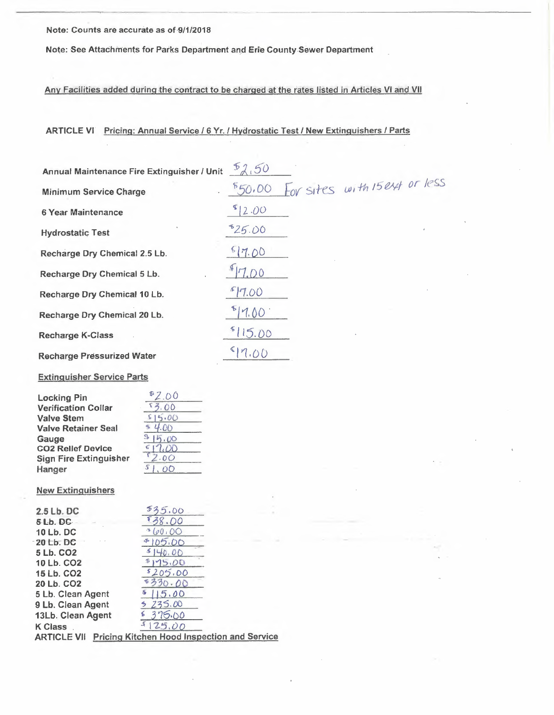Note: Counts are accurate as of 9/1/2018

Note: See Attachments for Parks Department and Erie County Sewer Department

Any Facilities added during the contract to be charged at the rates listed in Articles VI and VII

ARTICLE VI Pricing: Annual Service / 6 Yr. / Hydrostatic Test / New Extinguishers / Parts

| Annual Maintenance Fire Extinguisher / Unit | 52,50                                    |
|---------------------------------------------|------------------------------------------|
| <b>Minimum Service Charge</b>               | Lov sites with 15 ext or less<br>\$50,00 |
| 6 Year Maintenance                          | 12.00                                    |
| <b>Hydrostatic Test</b>                     | 525.00<br>$\theta$                       |
| Recharge Dry Chemical 2.5 Lb.               | 517.00                                   |
| Recharge Dry Chemical 5 Lb.                 | 7.00                                     |
| Recharge Dry Chemical 10 Lb.                | 7.00                                     |
| Recharge Dry Chemical 20 Lb.                | 7.00                                     |
| <b>Recharge K-Class</b>                     | 15.00                                    |
| <b>Recharge Pressurized Water</b>           | 7.00                                     |

**Extinguisher Service Parts** 

| .00  |
|------|
|      |
| 5.00 |
| .00  |
|      |
|      |
| 2.00 |
|      |
|      |

### **New Extinguishers**

| 2.5 Lb. DC             | 5.00                                               |
|------------------------|----------------------------------------------------|
| 5 Lb. DC               | . OO                                               |
| <b>10 Lb. DC</b>       | (0.00)                                             |
| 20 Lb. DC              |                                                    |
| 5 Lb. CO <sub>2</sub>  |                                                    |
| 10 Lb. CO <sub>2</sub> | 175.00                                             |
| 15 Lb. CO2             | \$205.00                                           |
| 20 Lb. CO <sub>2</sub> | 5330.00                                            |
| 5 Lb. Clean Agent      | 5.00                                               |
| 9 Lb. Clean Agent      | 235.00                                             |
| 13Lb. Clean Agent      | 375.00                                             |
| <b>K Class</b>         | 25.00                                              |
| <b>ARTICLE VII</b>     | <b>Pricing Kitchen Hood Inspection and Service</b> |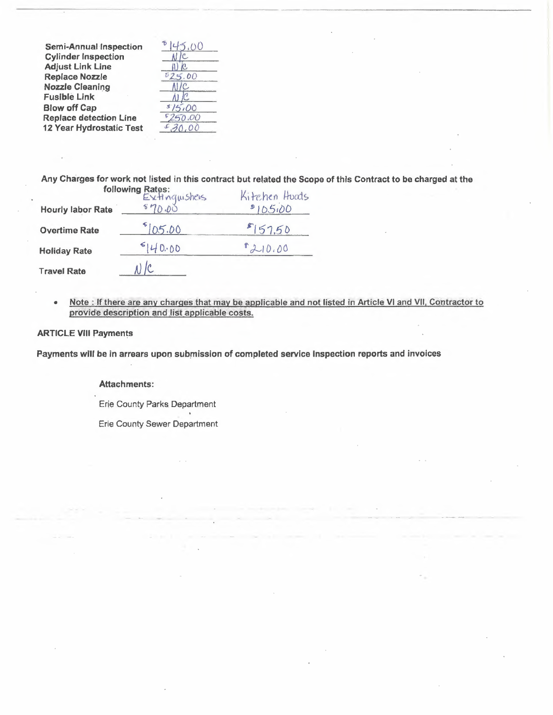**Semi-Annual Inspection Cylinder Inspection**  $\mathcal{C}$ . **Adjust Link Line**  $W_{c}$ **Replace Nozzle Nozzle Cleaning**  $N/C$ **Fusible Link**  $N/C$ **Blow off Cap Replace detection Line**  $\overline{\mathbb{C}}$ 12 Year Hydrostatic Test

 $\Delta$  $025.00$  $515,00$ 250.00  $20,00$ 

Any Charges for work not listed in this contract but related the Scope of this Contract to be charged at the

|                          | following Rates:<br>Extinguishers<br>ate $$70.00$ | Kitchen Huats |
|--------------------------|---------------------------------------------------|---------------|
| <b>Hourly labor Rate</b> |                                                   | 5105.00       |
| <b>Overtime Rate</b>     | $^{8}$ [05.00                                     | 8157.50       |
| <b>Holiday Rate</b>      | 5140.00                                           | 1210.00       |
| <b>Travel Rate</b>       |                                                   |               |

Note : If there are any charges that may be applicable and not listed in Article VI and VII, Contractor to  $\bullet$ provide description and list applicable costs.

#### **ARTICLE VIII Payments**

Payments will be in arrears upon submission of completed service inspection reports and invoices

#### **Attachments:**

Erie County Parks Department

Erie County Sewer Department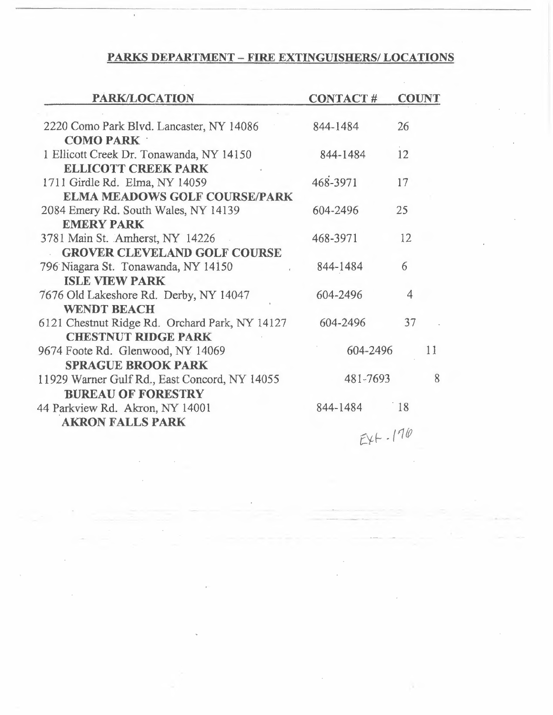# **PARKS DEPARTMENT- FIRE EXTINGUISHERS/ LOCATIONS**

--------- ----- --

| PARK/LOCATION                                  | <b>CONTACT#</b> | <b>COUNT</b>    |  |
|------------------------------------------------|-----------------|-----------------|--|
|                                                |                 |                 |  |
| 2220 Como Park Blvd. Lancaster, NY 14086       | 844-1484        | 26              |  |
| <b>COMO PARK</b>                               |                 |                 |  |
| 1 Ellicott Creek Dr. Tonawanda, NY 14150       | 844-1484        | 12              |  |
| <b>ELLICOTT CREEK PARK</b>                     |                 |                 |  |
| 1711 Girdle Rd. Elma, NY 14059                 | 468-3971        | 17              |  |
| <b>ELMA MEADOWS GOLF COURSE/PARK</b>           |                 |                 |  |
| 2084 Emery Rd. South Wales, NY 14139           | 604-2496        | 25              |  |
| <b>EMERY PARK</b>                              |                 |                 |  |
| 3781 Main St. Amherst, NY 14226                | 468-3971        | 12              |  |
| <b>GROVER CLEVELAND GOLF COURSE</b>            |                 |                 |  |
| 796 Niagara St. Tonawanda, NY 14150            | 844-1484        | 6               |  |
| <b>ISLE VIEW PARK</b>                          |                 |                 |  |
| 7676 Old Lakeshore Rd. Derby, NY 14047         | 604-2496        | 4               |  |
| <b>WENDT BEACH</b>                             |                 |                 |  |
| 6121 Chestnut Ridge Rd. Orchard Park, NY 14127 | 604-2496        | 37              |  |
| <b>CHESTNUT RIDGE PARK</b>                     |                 |                 |  |
| 9674 Foote Rd. Glenwood, NY 14069              | 604-2496<br>11  |                 |  |
| <b>SPRAGUE BROOK PARK</b>                      |                 |                 |  |
| 11929 Warner Gulf Rd., East Concord, NY 14055  | 8<br>481-7693   |                 |  |
| <b>BUREAU OF FORESTRY</b>                      |                 |                 |  |
| 44 Parkview Rd. Akron, NY 14001                | 844-1484        | $\frac{18}{18}$ |  |
| <b>AKRON FALLS PARK</b>                        |                 |                 |  |
|                                                | $EY + -170$     |                 |  |

 $\bar{z}$ 

 $\epsilon$ 

 $\sim$ 

 $\bar{\mathcal{A}}$